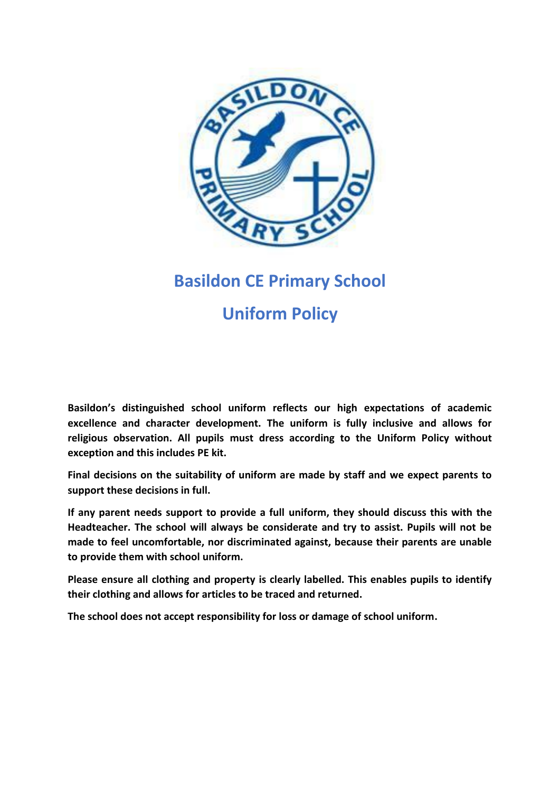

# **Basildon CE Primary School**

# **Uniform Policy**

**Basildon's distinguished school uniform reflects our high expectations of academic excellence and character development. The uniform is fully inclusive and allows for religious observation. All pupils must dress according to the Uniform Policy without exception and this includes PE kit.**

**Final decisions on the suitability of uniform are made by staff and we expect parents to support these decisions in full.**

**If any parent needs support to provide a full uniform, they should discuss this with the Headteacher. The school will always be considerate and try to assist. Pupils will not be made to feel uncomfortable, nor discriminated against, because their parents are unable to provide them with school uniform.**

**Please ensure all clothing and property is clearly labelled. This enables pupils to identify their clothing and allows for articles to be traced and returned.** 

**The school does not accept responsibility for loss or damage of school uniform.**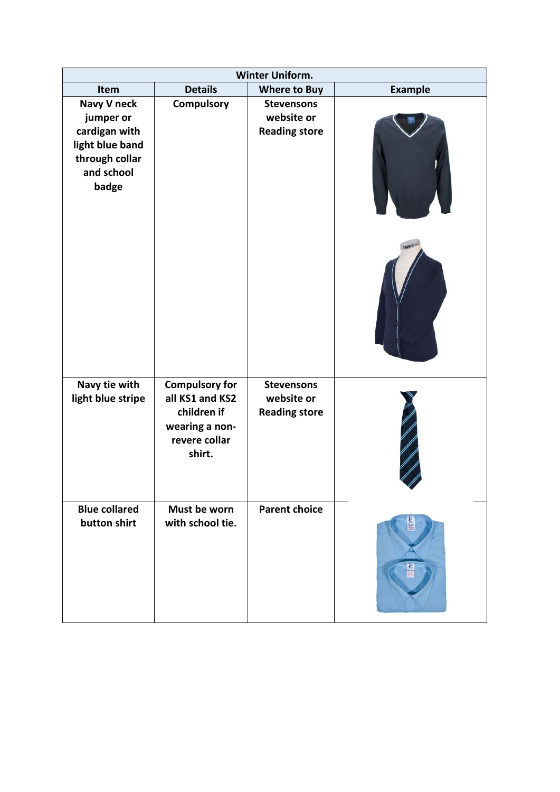| Winter Uniform.                                                                                       |                                                                                                      |                                                         |                |  |
|-------------------------------------------------------------------------------------------------------|------------------------------------------------------------------------------------------------------|---------------------------------------------------------|----------------|--|
| Item                                                                                                  | <b>Details</b>                                                                                       | <b>Where to Buy</b>                                     | <b>Example</b> |  |
| Navy V neck<br>jumper or<br>cardigan with<br>light blue band<br>through collar<br>and school<br>badge | Compulsory                                                                                           | <b>Stevensons</b><br>website or<br><b>Reading store</b> |                |  |
|                                                                                                       |                                                                                                      |                                                         |                |  |
| Navy tie with<br>light blue stripe                                                                    | <b>Compulsory for</b><br>all KS1 and KS2<br>children if<br>wearing a non-<br>revere collar<br>shirt. | <b>Stevensons</b><br>website or<br><b>Reading store</b> |                |  |
| <b>Blue collared</b><br>button shirt                                                                  | Must be worn<br>with school tie.                                                                     | <b>Parent choice</b>                                    |                |  |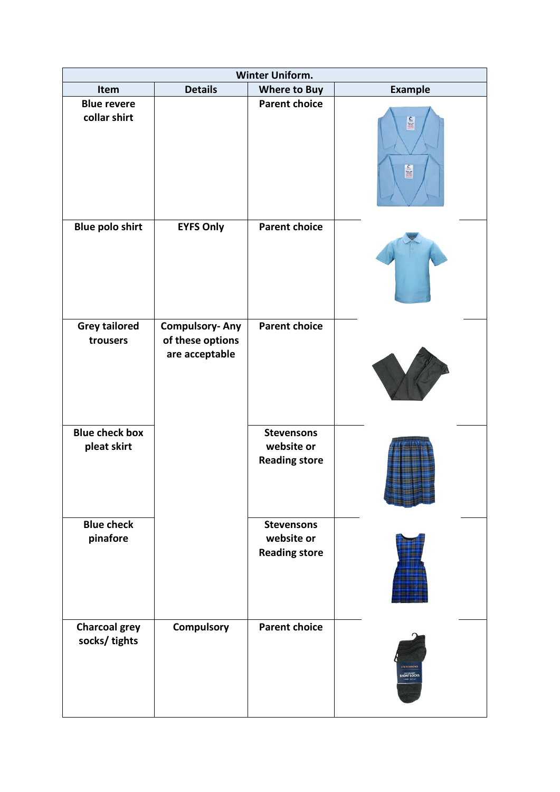| <b>Winter Uniform.</b>                |                                                             |                                                         |                                  |  |
|---------------------------------------|-------------------------------------------------------------|---------------------------------------------------------|----------------------------------|--|
| Item                                  | <b>Details</b>                                              | <b>Where to Buy</b>                                     | <b>Example</b>                   |  |
| <b>Blue revere</b><br>collar shirt    |                                                             | <b>Parent choice</b>                                    | <b>STIL</b><br>É                 |  |
| <b>Blue polo shirt</b>                | <b>EYFS Only</b>                                            | <b>Parent choice</b>                                    |                                  |  |
| <b>Grey tailored</b><br>trousers      | <b>Compulsory-Any</b><br>of these options<br>are acceptable | <b>Parent choice</b>                                    |                                  |  |
| <b>Blue check box</b><br>pleat skirt  |                                                             | <b>Stevensons</b><br>website or<br><b>Reading store</b> |                                  |  |
| <b>Blue check</b><br>pinafore         |                                                             | <b>Stevensons</b><br>website or<br><b>Reading store</b> |                                  |  |
| <b>Charcoal grey</b><br>socks/ tights | Compulsory                                                  | <b>Parent choice</b>                                    | <b>STEVENSON!</b><br>SHORT SOCKS |  |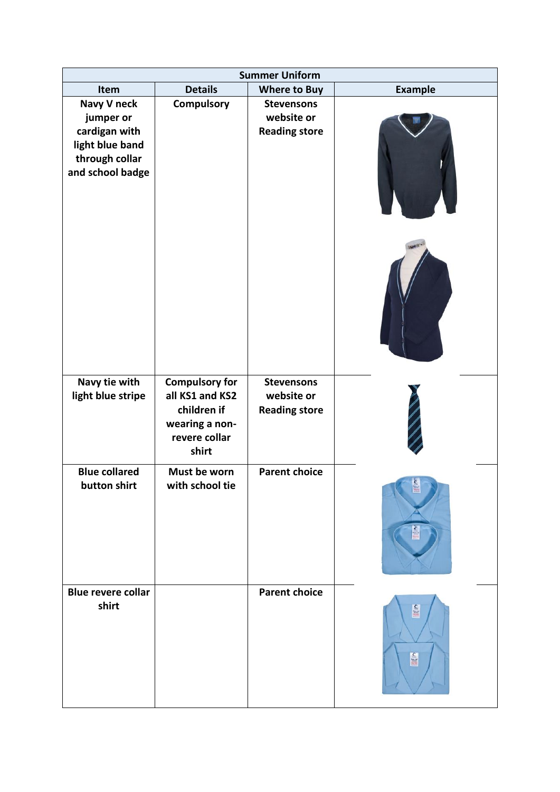| <b>Summer Uniform</b>                                                                              |                                                                                                     |                                                         |                    |  |
|----------------------------------------------------------------------------------------------------|-----------------------------------------------------------------------------------------------------|---------------------------------------------------------|--------------------|--|
| Item                                                                                               | <b>Details</b>                                                                                      | <b>Where to Buy</b>                                     | <b>Example</b>     |  |
| Navy V neck<br>jumper or<br>cardigan with<br>light blue band<br>through collar<br>and school badge | Compulsory                                                                                          | <b>Stevensons</b><br>website or<br><b>Reading store</b> |                    |  |
| Navy tie with<br>light blue stripe                                                                 | <b>Compulsory for</b><br>all KS1 and KS2<br>children if<br>wearing a non-<br>revere collar<br>shirt | <b>Stevensons</b><br>website or<br><b>Reading store</b> |                    |  |
| <b>Blue collared</b><br>button shirt                                                               | Must be worn<br>with school tie                                                                     | <b>Parent choice</b>                                    | Link               |  |
| <b>Blue revere collar</b><br>shirt                                                                 |                                                                                                     | <b>Parent choice</b>                                    | <b>Tillio</b><br>É |  |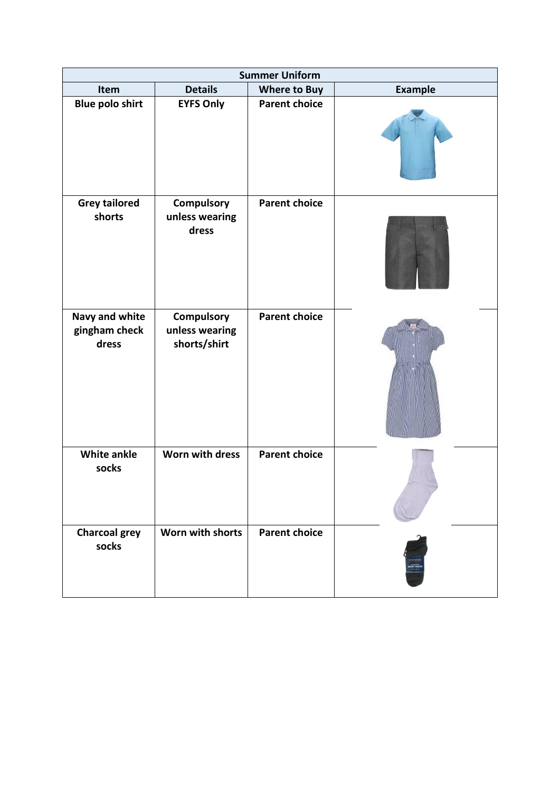| <b>Summer Uniform</b>                           |                                              |                      |                |  |
|-------------------------------------------------|----------------------------------------------|----------------------|----------------|--|
| Item                                            | <b>Details</b>                               | <b>Where to Buy</b>  | <b>Example</b> |  |
| <b>Blue polo shirt</b>                          | <b>EYFS Only</b>                             | <b>Parent choice</b> |                |  |
| <b>Grey tailored</b><br>shorts                  | Compulsory<br>unless wearing<br>dress        | <b>Parent choice</b> |                |  |
| <b>Navy and white</b><br>gingham check<br>dress | Compulsory<br>unless wearing<br>shorts/shirt | <b>Parent choice</b> |                |  |
| <b>White ankle</b><br>socks                     | Worn with dress                              | <b>Parent choice</b> |                |  |
| <b>Charcoal grey</b><br>socks                   | Worn with shorts                             | <b>Parent choice</b> | OKT 104        |  |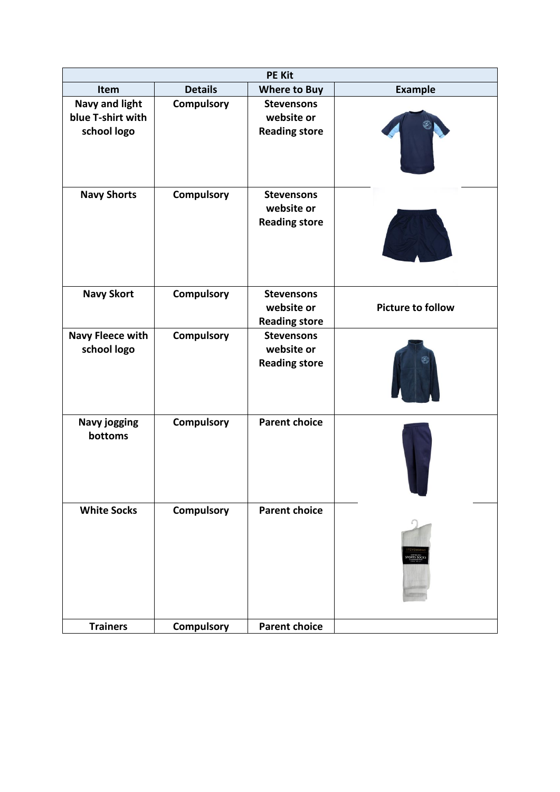| <b>PE Kit</b>                                             |                   |                                                         |                             |  |
|-----------------------------------------------------------|-------------------|---------------------------------------------------------|-----------------------------|--|
| Item                                                      | <b>Details</b>    | <b>Where to Buy</b>                                     | <b>Example</b>              |  |
| <b>Navy and light</b><br>blue T-shirt with<br>school logo | <b>Compulsory</b> | <b>Stevensons</b><br>website or<br><b>Reading store</b> |                             |  |
| <b>Navy Shorts</b>                                        | <b>Compulsory</b> | <b>Stevensons</b><br>website or<br><b>Reading store</b> |                             |  |
| <b>Navy Skort</b>                                         | Compulsory        | <b>Stevensons</b><br>website or<br><b>Reading store</b> | <b>Picture to follow</b>    |  |
| <b>Navy Fleece with</b><br>school logo                    | <b>Compulsory</b> | <b>Stevensons</b><br>website or<br><b>Reading store</b> |                             |  |
| Navy jogging<br>bottoms                                   | <b>Compulsory</b> | <b>Parent choice</b>                                    |                             |  |
| <b>White Socks</b>                                        | <b>Compulsory</b> | <b>Parent choice</b>                                    | <b>TEVEN</b><br>SPORTS SOCK |  |
| <b>Trainers</b>                                           | Compulsory        | <b>Parent choice</b>                                    |                             |  |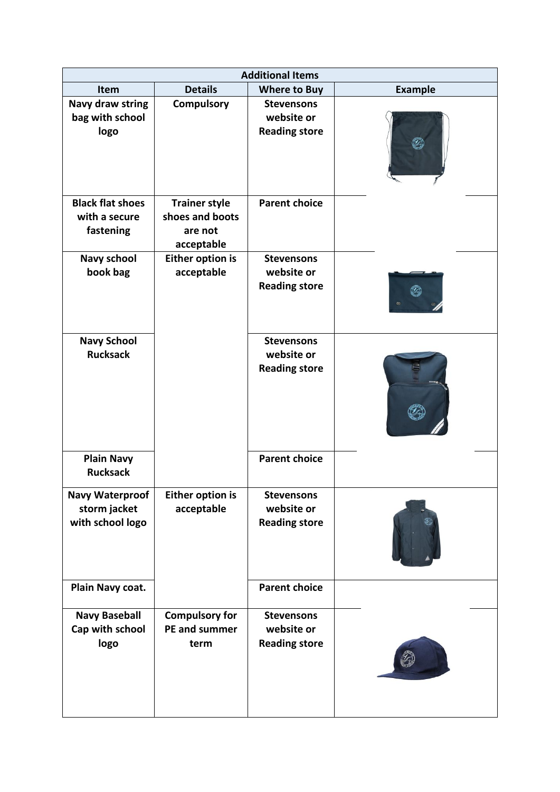| <b>Additional Items</b>                                    |                                                                  |                                                         |                |
|------------------------------------------------------------|------------------------------------------------------------------|---------------------------------------------------------|----------------|
| Item                                                       | <b>Details</b>                                                   | <b>Where to Buy</b>                                     | <b>Example</b> |
| Navy draw string<br>bag with school<br>logo                | <b>Compulsory</b>                                                | <b>Stevensons</b><br>website or<br><b>Reading store</b> |                |
| <b>Black flat shoes</b><br>with a secure<br>fastening      | <b>Trainer style</b><br>shoes and boots<br>are not<br>acceptable | <b>Parent choice</b>                                    |                |
| <b>Navy school</b><br>book bag                             | <b>Either option is</b><br>acceptable                            | <b>Stevensons</b><br>website or<br><b>Reading store</b> |                |
| <b>Navy School</b><br><b>Rucksack</b>                      |                                                                  | <b>Stevensons</b><br>website or<br><b>Reading store</b> |                |
| <b>Plain Navy</b><br><b>Rucksack</b>                       |                                                                  | <b>Parent choice</b>                                    |                |
| <b>Navy Waterproof</b><br>storm jacket<br>with school logo | Either option is<br>acceptable                                   | <b>Stevensons</b><br>website or<br><b>Reading store</b> |                |
| Plain Navy coat.                                           |                                                                  | <b>Parent choice</b>                                    |                |
| <b>Navy Baseball</b><br>Cap with school<br>logo            | <b>Compulsory for</b><br>PE and summer<br>term                   | <b>Stevensons</b><br>website or<br><b>Reading store</b> |                |